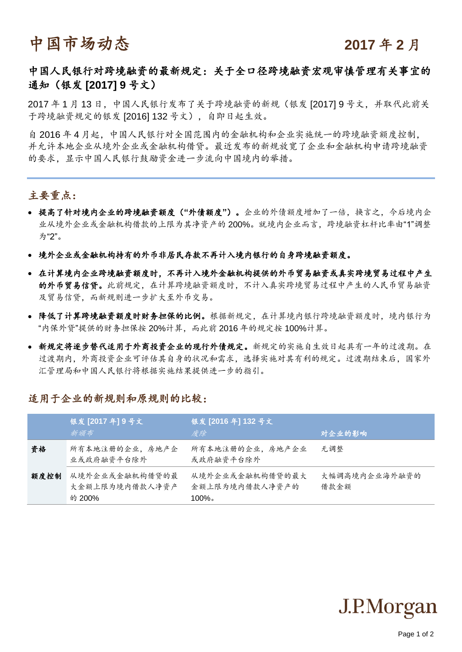# 中国市场动态<br> **Paramachina Additional Additional Property**

## 中国人民银行对跨境融资的最新规定:关于全口径跨境融资宏观审慎管理有关事宜的 通知(银发 **[2017] 9** 号文)

2017 年 1 月 13 日,中国人民银行发布了关于跨境融资的新规(银发 [2017] 9 号文,并取代此前关 于跨境融资规定的银发 [2016] 132 号文),自即日起生效。

自 2016 年 4 月起,中国人民银行对全国范围内的金融机构和企业实施统一的跨境融资额度控制, 并允许本地企业从境外企业或金融机构借贷。最近发布的新规放宽了企业和金融机构申请跨境融资 的要求,显示中国人民银行鼓励资金进一步流向中国境内的举措。

## 主要重点:

- 提高了针对境内企业的跨境融资额度(**"**外债额度**"**)。企业的外债额度增加了一倍,换言之,今后境内企 业从境外企业或金融机构借款的上限为其净资产的 200%。就境内企业而言,跨境融资杠杆比率由"1"调整 为"2"。
- 境外企业或金融机构持有的外币非居民存款不再计入境内银行的自身跨境融资额度。
- 在计算境内企业跨境融资额度时,不再计入境外金融机构提供的外币贸易融资或真实跨境贸易过程中产生 的外币贸易信贷。此前规定,在计算跨境融资额度时,不计入真实跨境贸易过程中产生的人民币贸易融资 及贸易信贷,而新规则进一步扩大至外币交易。
- 降低了计算跨境融资额度时财务担保的比例。根据新规定,在计算境内银行跨境融资额度时,境内银行为 "内保外贷"提供的财务担保按 20%计算,而此前 2016 年的规定按 100%计算。
- 新规定将逐步替代适用于外商投资企业的现行外债规定。新规定的实施自生效日起具有一年的过渡期。在 过渡期内,外商投资企业可评估其自身的状况和需求,选择实施对其有利的规定。过渡期结束后,国家外 汇管理局和中国人民银行将根据实施结果提供进一步的指引。

### 适用于企业的新规则和原规则的比较:

|      | 银发 [2017年] 9号文<br>新颁布                      | 银发 [2016年] 132号文<br>废除                         | 对企业的影响                |
|------|--------------------------------------------|------------------------------------------------|-----------------------|
| 資格   | 所有本地注册的企业,房地产企<br>业或政府融资平台除外               | 所有本地注册的企业,房地产企业<br>或政府融资平台除外                   | 无调整                   |
| 额度控制 | 从境外企业或金融机构借贷的最<br>大金额上限为境内借款人净资产<br>的 200% | 从境外企业或金融机构借贷的最大<br>金额上限为境内借款人净资产的<br>$100\%$ . | 大幅调高境内企业海外融资的<br>借款余额 |